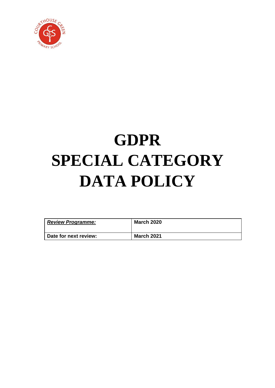

# **GDPR SPECIAL CATEGORY DATA POLICY**

| <b>Review Programme:</b> | <b>March 2020</b> |
|--------------------------|-------------------|
| Date for next review:    | <b>March 2021</b> |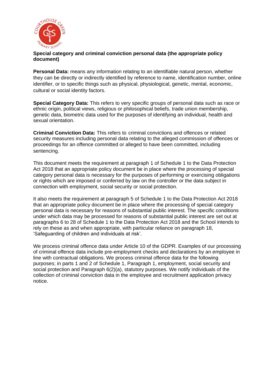

#### **Special category and criminal conviction personal data (the appropriate policy document)**

**Personal Data:** means any information relating to an identifiable natural person, whether they can be directly or indirectly identified by reference to name, identification number, online identifier, or to specific things such as physical, physiological, genetic, mental, economic, cultural or social identity factors.

**Special Category Data:** This refers to very specific groups of personal data such as race or ethnic origin, political views, religious or philosophical beliefs, trade union membership, genetic data, biometric data used for the purposes of identifying an individual, health and sexual orientation.

**Criminal Conviction Data:** This refers to criminal convictions and offences or related security measures including personal data relating to the alleged commission of offences or proceedings for an offence committed or alleged to have been committed, including sentencing.

This document meets the requirement at paragraph 1 of Schedule 1 to the Data Protection Act 2018 that an appropriate policy document be in place where the processing of special category personal data is necessary for the purposes of performing or exercising obligations or rights which are imposed or conferred by law on the controller or the data subject in connection with employment, social security or social protection.

It also meets the requirement at paragraph 5 of Schedule 1 to the Data Protection Act 2018 that an appropriate policy document be in place where the processing of special category personal data is necessary for reasons of substantial public interest. The specific conditions under which data may be processed for reasons of substantial public interest are set out at paragraphs 6 to 28 of Schedule 1 to the Data Protection Act 2018 and the School intends to rely on these as and when appropriate, with particular reliance on paragraph 18, 'Safeguarding of children and individuals at risk'.

We process criminal offence data under Article 10 of the GDPR. Examples of our processing of criminal offence data include pre-employment checks and declarations by an employee in line with contractual obligations. We process criminal offence data for the following purposes; in parts 1 and 2 of Schedule 1, Paragraph 1, employment, social security and social protection and Paragraph 6(2)(a), statutory purposes. We notify individuals of the collection of criminal conviction data in the employee and recruitment application privacy notice.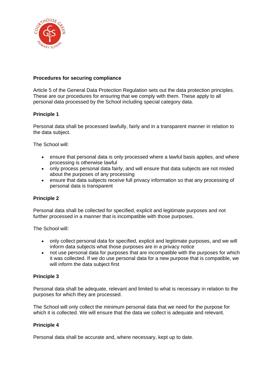

## **Procedures for securing compliance**

Article 5 of the General Data Protection Regulation sets out the data protection principles. These are our procedures for ensuring that we comply with them. These apply to all personal data processed by the School including special category data.

### **Principle 1**

Personal data shall be processed lawfully, fairly and in a transparent manner in relation to the data subject.

The School will:

- ensure that personal data is only processed where a lawful basis applies, and where processing is otherwise lawful
- only process personal data fairly, and will ensure that data subjects are not misled about the purposes of any processing
- ensure that data subjects receive full privacy information so that any processing of personal data is transparent

#### **Principle 2**

Personal data shall be collected for specified, explicit and legitimate purposes and not further processed in a manner that is incompatible with those purposes.

The School will:

- only collect personal data for specified, explicit and legitimate purposes, and we will inform data subjects what those purposes are in a privacy notice
- not use personal data for purposes that are incompatible with the purposes for which it was collected. If we do use personal data for a new purpose that is compatible, we will inform the data subject first

#### **Principle 3**

Personal data shall be adequate, relevant and limited to what is necessary in relation to the purposes for which they are processed.

The School will only collect the minimum personal data that we need for the purpose for which it is collected. We will ensure that the data we collect is adequate and relevant.

#### **Principle 4**

Personal data shall be accurate and, where necessary, kept up to date.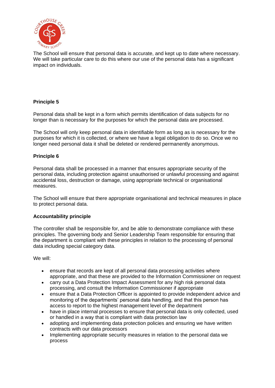

The School will ensure that personal data is accurate, and kept up to date where necessary. We will take particular care to do this where our use of the personal data has a significant impact on individuals.

## **Principle 5**

Personal data shall be kept in a form which permits identification of data subjects for no longer than is necessary for the purposes for which the personal data are processed.

The School will only keep personal data in identifiable form as long as is necessary for the purposes for which it is collected, or where we have a legal obligation to do so. Once we no longer need personal data it shall be deleted or rendered permanently anonymous.

#### **Principle 6**

Personal data shall be processed in a manner that ensures appropriate security of the personal data, including protection against unauthorised or unlawful processing and against accidental loss, destruction or damage, using appropriate technical or organisational measures.

The School will ensure that there appropriate organisational and technical measures in place to protect personal data.

#### **Accountability principle**

The controller shall be responsible for, and be able to demonstrate compliance with these principles. The governing body and Senior Leadership Team responsible for ensuring that the department is compliant with these principles in relation to the processing of personal data including special category data.

We will:

- ensure that records are kept of all personal data processing activities where appropriate, and that these are provided to the Information Commissioner on request
- carry out a Data Protection Impact Assessment for any high risk personal data processing, and consult the Information Commissioner if appropriate
- ensure that a Data Protection Officer is appointed to provide independent advice and monitoring of the departments' personal data handling, and that this person has access to report to the highest management level of the department
- have in place internal processes to ensure that personal data is only collected, used or handled in a way that is compliant with data protection law
- adopting and implementing data protection policies and ensuring we have written contracts with our data processors
- Implementing appropriate security measures in relation to the personal data we process